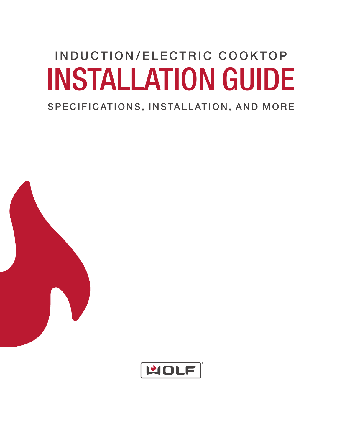# INDUCTION/ELECTRIC COOKTOP INSTALLATION GUIDE

## SPECIFICATIONS, INSTALLATION, AND MORE



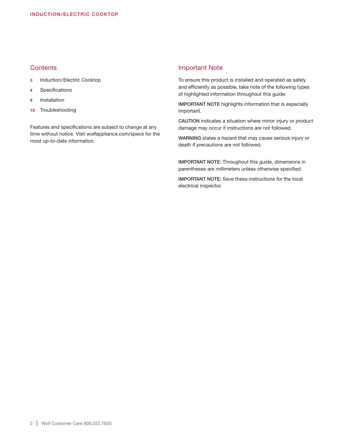### **Contents**

- 3 Induction/Electric Cooktop
- 4 Specifications
- 9 Installation
- 10 Troubleshooting

Features and specifications are subject to change at any time without notice. Visit wolfappliance.com/specs for the most up-to-date information.

### Important Note

To ensure this product is installed and operated as safely and efficiently as possible, take note of the following types of highlighted information throughout this guide:

IMPORTANT NOTE highlights information that is especially important.

CAUTION indicates a situation where minor injury or product damage may occur if instructions are not followed.

WARNING states a hazard that may cause serious injury or death if precautions are not followed.

IMPORTANT NOTE: Throughout this guide, dimensions in parentheses are millimeters unless otherwise specified.

IMPORTANT NOTE: Save these instructions for the local electrical inspector.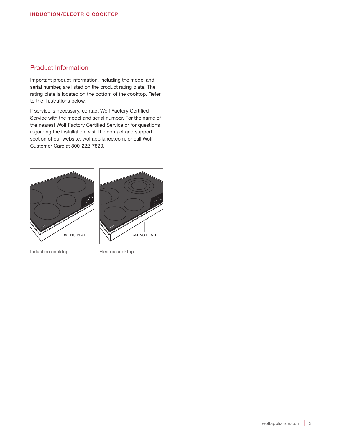### Product Information

Important product information, including the model and serial number, are listed on the product rating plate. The rating plate is located on the bottom of the cooktop. Refer to the illustrations below.

If service is necessary, contact Wolf Factory Certified Service with the model and serial number. For the name of the nearest Wolf Factory Certified Service or for questions regarding the installation, visit the contact and support section of our website, wolfappliance.com, or call Wolf Customer Care at 800-222-7820.



Induction cooktop Electric cooktop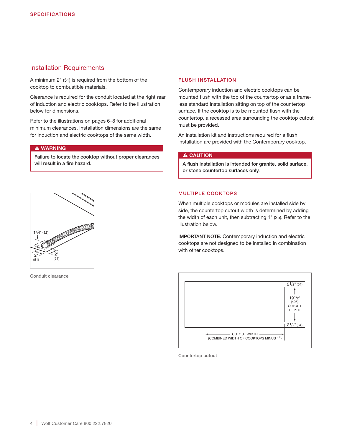### Installation Requirements

A minimum 2" (51) is required from the bottom of the cooktop to combustible materials.

Clearance is required for the conduit located at the right rear of induction and electric cooktops. Refer to the illustration below for dimensions.

Refer to the illustrations on pages 6–8 for additional minimum clearances. Installation dimensions are the same for induction and electric cooktops of the same width.

### **A WARNING**

Failure to locate the cooktop without proper clearances will result in a fire hazard.

### FLUSH INSTALLATION

Contemporary induction and electric cooktops can be mounted flush with the top of the countertop or as a frameless standard installation sitting on top of the countertop surface. If the cooktop is to be mounted flush with the countertop, a recessed area surrounding the cooktop cutout must be provided.

An installation kit and instructions required for a flush installation are provided with the Contemporary cooktop.

### A CAUTION

A flush installation is intended for granite, solid surface, or stone countertop surfaces only.

## COCOCOCOCO 11/4" (32) 2" 2" (51) (51)

Conduit clearance

### MULTIPLE COOKTOPS

When multiple cooktops or modules are installed side by side, the countertop cutout width is determined by adding the width of each unit, then subtracting 1" (25). Refer to the illustration below.

IMPORTANT NOTE: Contemporary induction and electric cooktops are not designed to be installed in combination with other cooktops.



Countertop cutout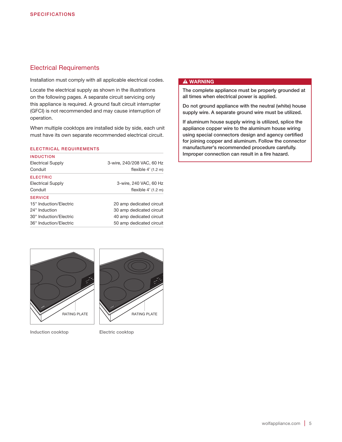### Electrical Requirements

Installation must comply with all applicable electrical codes.

Locate the electrical supply as shown in the illustrations on the following pages. A separate circuit servicing only this appliance is required. A ground fault circuit interrupter (GFCI) is not recommended and may cause interruption of operation.

When multiple cooktops are installed side by side, each unit must have its own separate recommended electrical circuit.

### ELECTRICAL REQUIREMENTS

| <b>Electrical Supply</b> | 3-wire, 240/208 VAC, 60 Hz |
|--------------------------|----------------------------|
| Conduit                  | flexible $4'$ (1.2 m)      |
| <b>ELECTRIC</b>          |                            |
| <b>Electrical Supply</b> | 3-wire, 240 VAC, 60 Hz     |
| Conduit                  | flexible $4'$ (1.2 m)      |
| <b>SERVICE</b>           |                            |
| 15" Induction/Electric   | 20 amp dedicated circuit   |
| 24" Induction            | 30 amp dedicated circuit   |
| 30" Induction/Electric   | 40 amp dedicated circuit   |
| 36" Induction/Electric   | 50 amp dedicated circuit   |

### **A WARNING**

The complete appliance must be properly grounded at all times when electrical power is applied.

Do not ground appliance with the neutral (white) house supply wire. A separate ground wire must be utilized.

If aluminum house supply wiring is utilized, splice the appliance copper wire to the aluminum house wiring using special connectors design and agency certified for joining copper and aluminum. Follow the connector manufacturer's recommended procedure carefully. Improper connection can result in a fire hazard.



RATING PLATE RATING PLATE

Induction cooktop Electric cooktop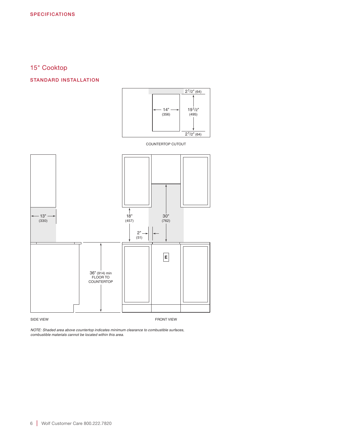### 15" Cooktop

### STANDARD INSTALLATION



COUNTERTOP CUTOUT



*NOTE: Shaded area above countertop indicates minimum clearance to combustible surfaces, combustible materials cannot be located within this area.*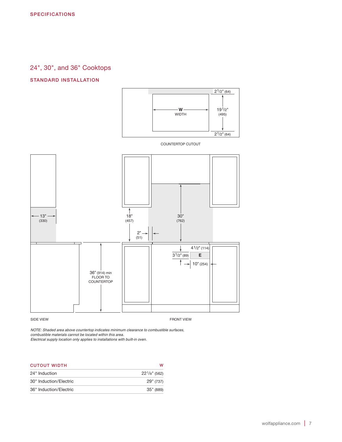### 24", 30", and 36" Cooktops

### STANDARD INSTALLATION



COUNTERTOP CUTOUT



*NOTE: Shaded area above countertop indicates minimum clearance to combustible surfaces, combustible materials cannot be located within this area.*

*Electrical supply location only applies to installations with built-in oven.*

| <b>CUTOUT WIDTH</b>    | w                |
|------------------------|------------------|
| 24" Induction          | $22^1/s''$ (562) |
| 30" Induction/Electric | 29" (737)        |
| 36" Induction/Electric | 35" (889)        |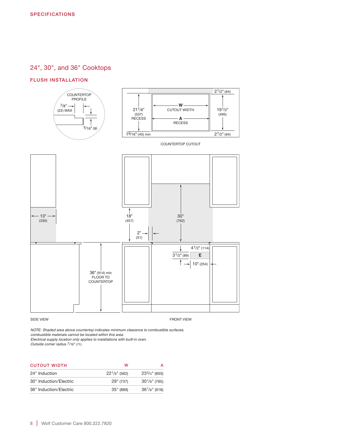### 24", 30", and 36" Cooktops

### FLUSH INSTALLATION



*NOTE: Shaded area above countertop indicates minimum clearance to combustible surfaces, combustible materials cannot be located within this area.*

*Electrical supply location only applies to installations with built-in oven.*

*Outside corner radius 7/16" (11).*

| <b>CUTOUT WIDTH</b>    | w                  |                    |
|------------------------|--------------------|--------------------|
| 24" Induction          | $22^{1}/8$ " (562) | $233/4"$ (603)     |
| 30" Induction/Electric | 29" (737)          | $30^{1}/s$ " (765) |
| 36" Induction/Electric | 35" (889)          | $36^{1}/8"$ (918)  |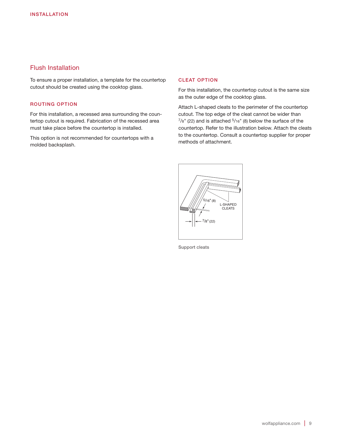### Flush Installation

To ensure a proper installation, a template for the countertop cutout should be created using the cooktop glass.

### ROUTING OPTION

For this installation, a recessed area surrounding the countertop cutout is required. Fabrication of the recessed area must take place before the countertop is installed.

This option is not recommended for countertops with a molded backsplash.

### CLEAT OPTION

For this installation, the countertop cutout is the same size as the outer edge of the cooktop glass.

Attach L-shaped cleats to the perimeter of the countertop cutout. The top edge of the cleat cannot be wider than  $^{7}/8$ " (22) and is attached  $^{5}/16$ " (8) below the surface of the countertop. Refer to the illustration below. Attach the cleats to the countertop. Consult a countertop supplier for proper methods of attachment.



Support cleats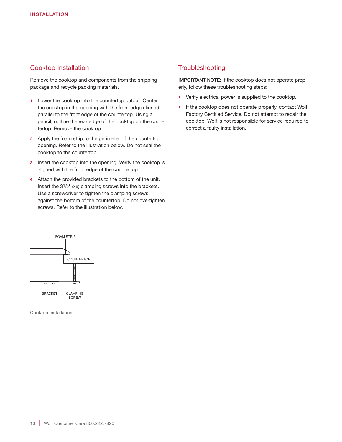### Cooktop Installation

Remove the cooktop and components from the shipping package and recycle packing materials.

- 1 Lower the cooktop into the countertop cutout. Center the cooktop in the opening with the front edge aligned parallel to the front edge of the countertop. Using a pencil, outline the rear edge of the cooktop on the countertop. Remove the cooktop.
- 2 Apply the foam strip to the perimeter of the countertop opening. Refer to the illustration below. Do not seal the cooktop to the countertop.
- 3 Insert the cooktop into the opening. Verify the cooktop is aligned with the front edge of the countertop.
- 4 Attach the provided brackets to the bottom of the unit. Insert the 31/2" (89) clamping screws into the brackets. Use a screwdriver to tighten the clamping screws against the bottom of the countertop. Do not overtighten screws. Refer to the illustration below.

### **Troubleshooting**

IMPORTANT NOTE: If the cooktop does not operate properly, follow these troubleshooting steps:

- Verify electrical power is supplied to the cooktop.
- If the cooktop does not operate properly, contact Wolf Factory Certified Service. Do not attempt to repair the cooktop. Wolf is not responsible for service required to correct a faulty installation.



Cooktop installation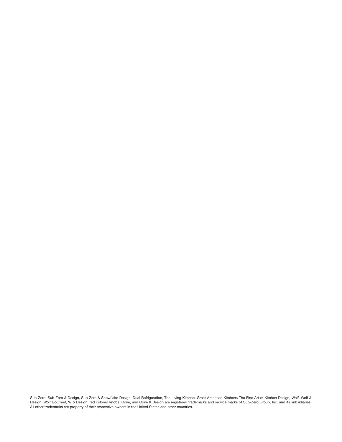Sub-Zero, Sub-Zero & Design, Sub-Zero & Snowflake Design, Dual Refrigeration, The Living Kitchen, Great American Kitchens The Fine Art of Kitchen Design, Wolf, Wolf & Design, Wolf Gourmet, W & Design, red colored knobs, Cove, and Cove & Design are registered trademarks and service marks of Sub-Zero Group, Inc. and its subsidiaries. All other trademarks are property of their respective owners in the United States and other countries.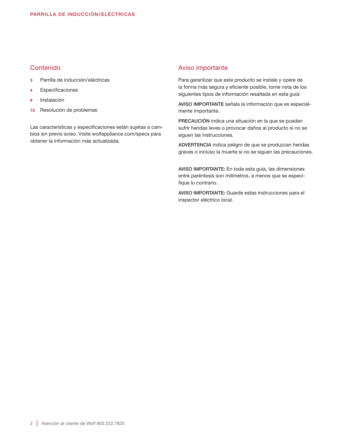### Contenido

- 3 Parrilla de inducción/eléctricas
- 4 Especificaciones
- Instalación
- 10 Resolución de problemas

Las características y especificaciones están sujetas a cambios sin previo aviso. Visite wolfappliance.com/specs para obtener la información más actualizada.

### Aviso importante

Para garantizar que este producto se instale y opere de la forma más segura y eficiente posible, tome nota de los siguientes tipos de información resaltada en esta guía:

AVISO IMPORTANTE señala la información que es especialmente importante.

PRECAUCIÓN indica una situación en la que se pueden sufrir heridas leves o provocar daños al producto si no se siguen las instrucciones.

ADVERTENCIA indica peligro de que se produzcan heridas graves o incluso la muerte si no se siguen las precauciones.

AVISO IMPORTANTE: En toda esta guía, las dimensiones entre paréntesis son milímetros, a menos que se especifique lo contrario.

AVISO IMPORTANTE: Guarde estas instrucciones para el inspector eléctrico local.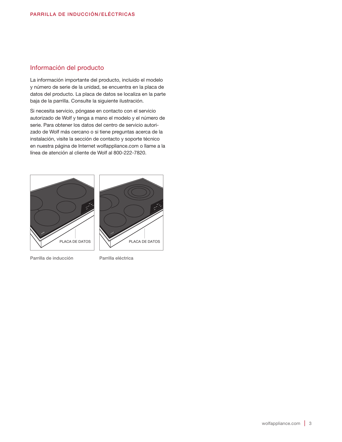### Información del producto

La información importante del producto, incluido el modelo y número de serie de la unidad, se encuentra en la placa de datos del producto. La placa de datos se localiza en la parte baja de la parrilla. Consulte la siguiente ilustración.

Si necesita servicio, póngase en contacto con el servicio autorizado de Wolf y tenga a mano el modelo y el número de serie. Para obtener los datos del centro de servicio autorizado de Wolf más cercano o si tiene preguntas acerca de la instalación, visite la sección de contacto y soporte técnico en nuestra página de Internet wolfappliance.com o llame a la línea de atención al cliente de Wolf al 800-222-7820.



Parrilla de inducción Parrilla eléctrica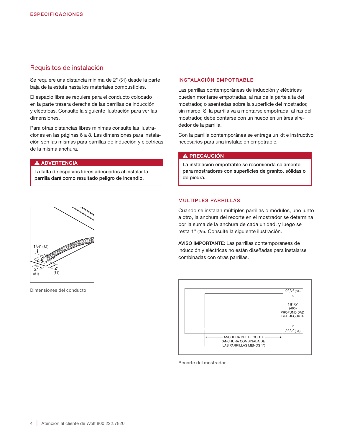### Requisitos de instalación

Se requiere una distancia mínima de 2" (51) desde la parte baja de la estufa hasta los materiales combustibles.

El espacio libre se requiere para el conducto colocado en la parte trasera derecha de las parrillas de inducción y eléctricas. Consulte la siguiente ilustración para ver las dimensiones.

Para otras distancias libres mínimas consulte las ilustraciones en las páginas 6 a 8. Las dimensiones para instalación son las mismas para parrillas de inducción y eléctricas de la misma anchura.

### **A ADVERTENCIA**

La falta de espacios libres adecuados al instalar la parrilla dará como resultado peligro de incendio.

### INSTALACIÓN EMPOTRABLE

Las parrillas contemporáneas de inducción y eléctricas pueden montarse empotradas, al ras de la parte alta del mostrador, o asentadas sobre la superficie del mostrador, sin marco. Si la parrilla va a montarse empotrada, al ras del mostrador, debe contarse con un hueco en un área alrededor de la parrilla.

Con la parrilla contemporánea se entrega un kit e instructivo necesarios para una instalación empotrable.

### A PRECAUCIÓN

La instalación empotrable se recomienda solamente para mostradores con superficies de granito, sólidas o de piedra.

## COCOCOCO COLORADO  $(32)$ 2" 2" (51) (51)

Dimensiones del conducto

### MULTIPLES PARRILLAS

Cuando se instalan múltiples parrillas o módulos, uno junto a otro, la anchura del recorte en el mostrador se determina por la suma de la anchura de cada unidad, y luego se resta 1" (25). Consulte la siguiente ilustración.

AVISO IMPORTANTE: Las parrillas contemporáneas de inducción y eléctricas no están diseñadas para instalarse combinadas con otras parrillas.



Recorte del mostrador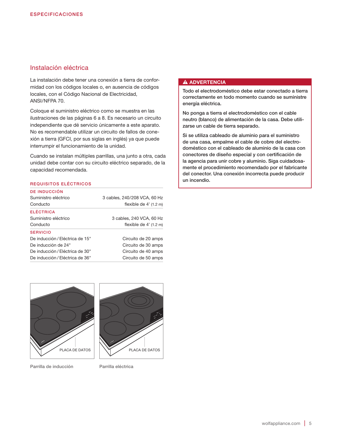### Instalación eléctrica

La instalación debe tener una conexión a tierra de conformidad con los códigos locales o, en ausencia de códigos locales, con el Código Nacional de Electricidad, ANSI/NFPA 70.

Coloque el suministro eléctrico como se muestra en las ilustraciones de las páginas 6 a 8. Es necesario un circuito independiente que dé servicio únicamente a este aparato. No es recomendable utilizar un circuito de fallos de conexión a tierra (GFCI, por sus siglas en inglés) ya que puede interrumpir el funcionamiento de la unidad.

Cuando se instalan múltiples parrillas, una junto a otra, cada unidad debe contar con su circuito eléctrico separado, de la capacidad recomendada.

### REQUISITOS ELÉCTRICOS

| DE INDUCCIÓN                    |                              |
|---------------------------------|------------------------------|
| Suministro eléctrico            | 3 cables, 240/208 VCA, 60 Hz |
| Conducto                        | flexible de $4'$ (1.2 m)     |
| <b>FLÉCTRICA</b>                |                              |
| Suministro eléctrico            | 3 cables, 240 VCA, 60 Hz     |
| Conducto                        | flexible de $4'$ (1.2 m)     |
| <b>SERVICIO</b>                 |                              |
| De inducción / Eléctrica de 15" | Circuito de 20 amps          |
| De inducción de 24"             | Circuito de 30 amps          |
| De inducción / Eléctrica de 30" | Circuito de 40 amps          |
| De inducción / Eléctrica de 36" | Circuito de 50 amps          |

### **A ADVERTENCIA**

Todo el electrodoméstico debe estar conectado a tierra correctamente en todo momento cuando se suministre energía eléctrica.

No ponga a tierra el electrodoméstico con el cable neutro (blanco) de alimentación de la casa. Debe utilizarse un cable de tierra separado.

Si se utiliza cableado de aluminio para el suministro de una casa, empalme el cable de cobre del electrodoméstico con el cableado de aluminio de la casa con conectores de diseño especial y con certificación de la agencia para unir cobre y aluminio. Siga cuidadosamente el procedimiento recomendado por el fabricante del conector. Una conexión incorrecta puede producir un incendio.



Parrilla de inducción Parrilla eléctrica

PLACA DE DATOS  $\vert \vert \setminus \vert$  PLACA DE DATOS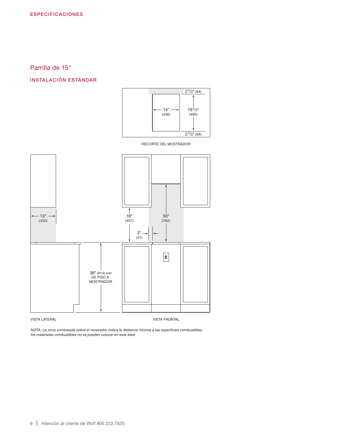### Parrilla de 15"

### INSTALACIÓN ESTÁNDAR



RECORTE DEL MOSTRADOR



*NOTA: La zona sombreada sobre el mostrador indica la distancia mínima a las superficies combustibles, los materiales combustibles no se pueden colocar en esta área.*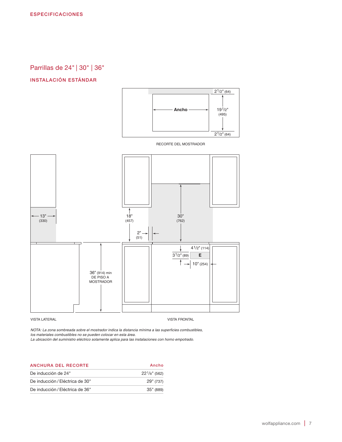Parrillas de 24" | 30" | 36"

### INSTALACIÓN ESTÁNDAR



RECORTE DEL MOSTRADOR



*NOTA: La zona sombreada sobre el mostrador indica la distancia mínima a las superficies combustibles, los materiales combustibles no se pueden colocar en esta área.*

*La ubicación del suministro eléctrico solamente aplica para las instalaciones con horno empotrado.*

| ANCHURA DEL RECORTE             | Ancho              |
|---------------------------------|--------------------|
| De inducción de 24"             | $22^{1/8}$ " (562) |
| De inducción / Eléctrica de 30" | 29" (737)          |
| De inducción / Eléctrica de 36" | 35" (889)          |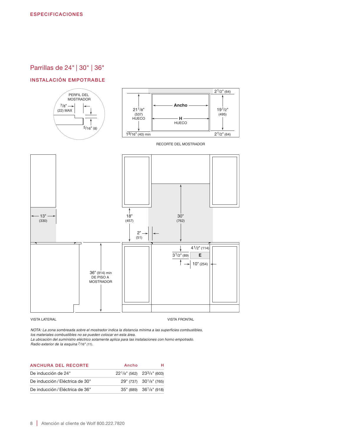### Parrillas de 24" | 30" | 36"

### INSTALACIÓN EMPOTRABLE



*NOTA: La zona sombreada sobre el mostrador indica la distancia mínima a las superficies combustibles, los materiales combustibles no se pueden colocar en esta área.*

*La ubicación del suministro eléctrico solamente aplica para las instalaciones con horno empotrado. Radio exterior de la esquina 7/16" (11).*

| ANCHURA DEL RECORTE             | Ancho                             |                                     |
|---------------------------------|-----------------------------------|-------------------------------------|
| De inducción de 24"             | $22^1$ /8" (562) $23^3$ /4" (603) |                                     |
| De inducción / Eléctrica de 30" |                                   | $29''$ (737) $30^{1}/8''$ (765)     |
| De inducción / Eléctrica de 36" |                                   | 35" (889) 36 <sup>1</sup> /8" (918) |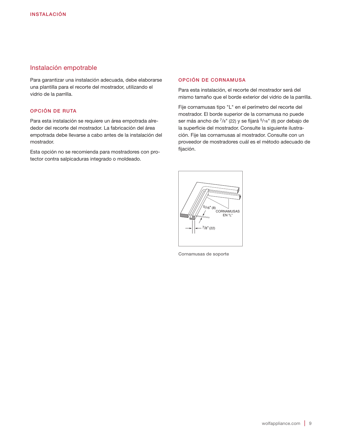### Instalación empotrable

Para garantizar una instalación adecuada, debe elaborarse una plantilla para el recorte del mostrador, utilizando el vidrio de la parrilla.

### OPCIÓN DE RUTA

Para esta instalación se requiere un área empotrada alrededor del recorte del mostrador. La fabricación del área empotrada debe llevarse a cabo antes de la instalación del mostrador.

Esta opción no se recomienda para mostradores con protector contra salpicaduras integrado o moldeado.

### OPCIÓN DE CORNAMUSA

Para esta instalación, el recorte del mostrador será del mismo tamaño que el borde exterior del vidrio de la parrilla.

Fije cornamusas tipo "L" en el perímetro del recorte del mostrador. El borde superior de la cornamusa no puede ser más ancho de  $\frac{7}{8}$ " (22) y se fijará  $\frac{5}{16}$ " (8) por debajo de la superficie del mostrador. Consulte la siguiente ilustración. Fije las cornamusas al mostrador. Consulte con un proveedor de mostradores cuál es el método adecuado de fijación.



Cornamusas de soporte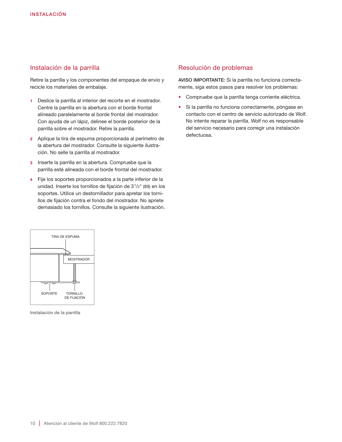### Instalación de la parrilla

Retire la parrilla y los componentes del empaque de envío y recicle los materiales de embalaje.

- 1 Deslice la parrilla al interior del recorte en el mostrador. Centre la parrilla en la abertura con el borde frontal alineado paralelamente al borde frontal del mostrador. Con ayuda de un lápiz, delinee el borde posterior de la parrilla sobre el mostrador. Retire la parrilla.
- 2 Aplique la tira de espuma proporcionada al perímetro de la abertura del mostrador. Consulte la siguiente ilustración. No selle la parrilla al mostrador.
- 3 Inserte la parrilla en la abertura. Compruebe que la parrilla esté alineada con el borde frontal del mostrador.
- 4 Fije los soportes proporcionados a la parte inferior de la unidad. Inserte los tornillos de fijación de 31/2" (89) en los soportes. Utilice un destornillador para apretar los tornillos de fijación contra el fondo del mostrador. No apriete demasiado los tornillos. Consulte la siguiente ilustración.



Instalación de la parrilla

### Resolución de problemas

AVISO IMPORTANTE: Si la parrilla no funciona correctamente, siga estos pasos para resolver los problemas:

- Compruebe que la parrilla tenga corriente eléctrica.
- Si la parrilla no funciona correctamente, póngase en contacto con el centro de servicio autorizado de Wolf. No intente reparar la parrilla. Wolf no es responsable del servicio necesario para corregir una instalación defectuosa.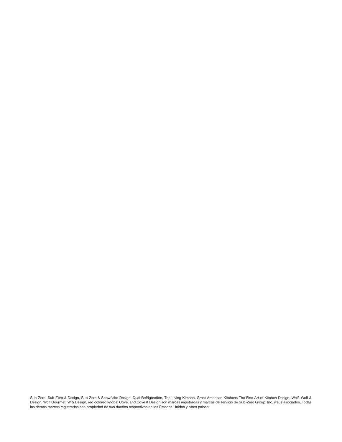Sub-Zero, Sub-Zero & Design, Sub-Zero & Snowflake Design, Dual Refrigeration, The Living Kitchen, Great American Kitchens The Fine Art of Kitchen Design, Wolf, Wolf & Design, Wolf Gourmet, W & Design, red colored knobs, Cove, and Cove & Design son marcas registradas y marcas de servicio de Sub-Zero Group, Inc. y sus asociados. Todas las demás marcas registradas son propiedad de sus dueños respectivos en los Estados Unidos y otros países.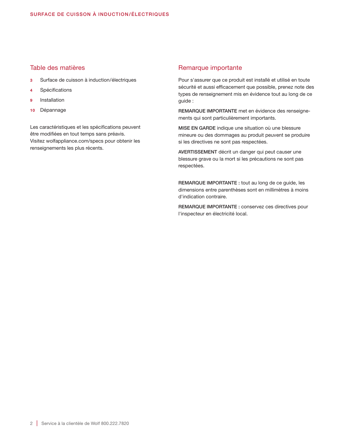### Table des matières

- 3 Surface de cuisson à induction/électriques
- 4 Spécifications
- 9 Installation
- 10 Dépannage

Les caractéristiques et les spécifications peuvent être modifiées en tout temps sans préavis. Visitez wolfappliance.com/specs pour obtenir les renseignements les plus récents.

### Remarque importante

Pour s'assurer que ce produit est installé et utilisé en toute sécurité et aussi efficacement que possible, prenez note des types de renseignement mis en évidence tout au long de ce guide :

REMARQUE IMPORTANTE met en évidence des renseignements qui sont particulièrement importants.

MISE EN GARDE indique une situation où une blessure mineure ou des dommages au produit peuvent se produire si les directives ne sont pas respectées.

AVERTISSEMENT décrit un danger qui peut causer une blessure grave ou la mort si les précautions ne sont pas respectées.

REMARQUE IMPORTANTE : tout au long de ce guide, les dimensions entre parenthèses sont en millimètres à moins d'indication contraire.

REMARQUE IMPORTANTE : conservez ces directives pour l'inspecteur en électricité local.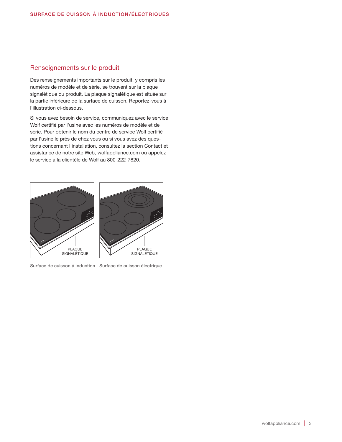### Renseignements sur le produit

Des renseignements importants sur le produit, y compris les numéros de modèle et de série, se trouvent sur la plaque signalétique du produit. La plaque signalétique est située sur la partie inférieure de la surface de cuisson. Reportez-vous à l'illustration ci-dessous.

Si vous avez besoin de service, communiquez avec le service Wolf certifié par l'usine avec les numéros de modèle et de série. Pour obtenir le nom du centre de service Wolf certifié par l'usine le près de chez vous ou si vous avez des questions concernant l'installation, consultez la section Contact et assistance de notre site Web, wolfappliance.com ou appelez le service à la clientèle de Wolf au 800-222-7820.



Surface de cuisson à induction Surface de cuisson électrique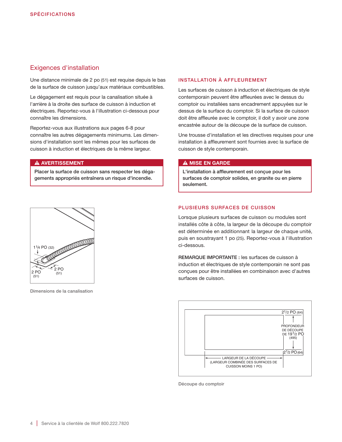### Exigences d'installation

Une distance minimale de 2 po (51) est requise depuis le bas de la surface de cuisson jusqu'aux matériaux combustibles.

Le dégagement est requis pour la canalisation située à l'arrière à la droite des surface de cuisson à induction et électriques. Reportez-vous à l'illustration ci-dessous pour connaître les dimensions.

Reportez-vous aux illustrations aux pages 6-8 pour connaître les autres dégagements minimums. Les dimensions d'installation sont les mêmes pour les surfaces de cuisson à induction et électriques de la même largeur.

### **A AVERTISSEMENT**

Placer la surface de cuisson sans respecter les dégagements appropriés entraînera un risque d'incendie.

### INSTALLATION À AFFLEUREMENT

Les surfaces de cuisson à induction et électriques de style contemporain peuvent être affleurées avec le dessus du comptoir ou installées sans encadrement appuyées sur le dessus de la surface du comptoir. Si la surface de cuisson doit être affleurée avec le comptoir, il doit y avoir une zone encastrée autour de la découpe de la surface de cuisson.

Une trousse d'installation et les directives requises pour une installation à affleurement sont fournies avec la surface de cuisson de style contemporain.

### **A MISE EN GARDE**

L'installation à affleurement est conçue pour les surfaces de comptoir solides, en granite ou en pierre seulement.

## 11/4 PO (32)<br>**AMTCOOOOOOOO**  $2 PQ$ 2 PO  $(51)$ (51)

Dimensions de la canalisation

### PLUSIEURS SURFACES DE CUISSON

Lorsque plusieurs surfaces de cuisson ou modules sont installés côte à côte, la largeur de la découpe du comptoir est déterminée en additionnant la largeur de chaque unité, puis en soustrayant 1 po (25). Reportez-vous à l'illustration ci-dessous.

REMARQUE IMPORTANTE : les surfaces de cuisson à induction et électriques de style contemporain ne sont pas conçues pour être installées en combinaison avec d'autres surfaces de cuisson.



Découpe du comptoir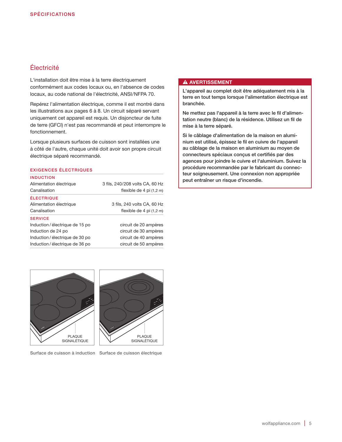### Électricité

L'installation doit être mise à la terre électriquement conformément aux codes locaux ou, en l'absence de codes locaux, au code national de l'électricité, ANSI/NFPA 70.

Repérez l'alimentation électrique, comme il est montré dans les illustrations aux pages 6 à 8. Un circuit séparé servant uniquement cet appareil est requis. Un disjoncteur de fuite de terre (GFCI) n'est pas recommandé et peut interrompre le fonctionnement.

Lorsque plusieurs surfaces de cuisson sont installées une à côté de l'autre, chaque unité doit avoir son propre circuit électrique séparé recommandé.

### EXIGENCES ÉLECTRIQUES

| Alimentation électrique         | 3 fils, 240/208 volts CA, 60 Hz |
|---------------------------------|---------------------------------|
| Canalisation                    | flexible de $4$ pi $(1,2, m)$   |
| <b>ÉLECTRIQUE</b>               |                                 |
| Alimentation électrique         | 3 fils, 240 volts CA, 60 Hz     |
| Canalisation                    | flexible de 4 pi (1,2 m)        |
| <b>SERVICE</b>                  |                                 |
| Induction / électrique de 15 po | circuit de 20 ampères           |
| Induction de 24 po              | circuit de 30 ampères           |
| Induction / électrique de 30 po | circuit de 40 ampères           |
| Induction / électrique de 36 po | circuit de 50 ampères           |

### **A AVERTISSEMENT**

L'appareil au complet doit être adéquatement mis à la terre en tout temps lorsque l'alimentation électrique est branchée.

Ne mettez pas l'appareil à la terre avec le fil d'alimentation neutre (blanc) de la résidence. Utilisez un fil de mise à la terre séparé.

Si le câblage d'alimentation de la maison en aluminium est utilisé, épissez le fil en cuivre de l'appareil au câblage de la maison en aluminium au moyen de connecteurs spéciaux conçus et certifiés par des agences pour joindre le cuivre et l'aluminium. Suivez la procédure recommandée par le fabricant du connecteur soigneusement. Une connexion non appropriée peut entraîner un risque d'incendie.



Surface de cuisson à induction Surface de cuisson électrique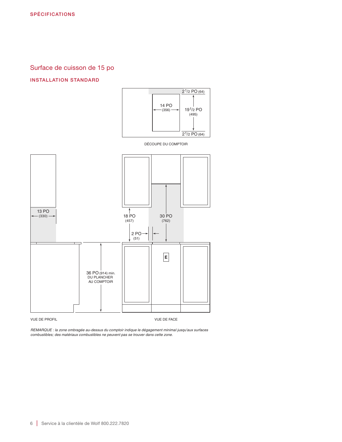### Surface de cuisson de 15 po

### INSTALLATION STANDARD



DÉCOUPE DU COMPTOIR



*REMARQUE : la zone ombragée au-dessus du comptoir indique le dégagement minimal jusqu'aux surfaces combustibles; des matériaux combustibles ne peuvent pas se trouver dans cette zone.*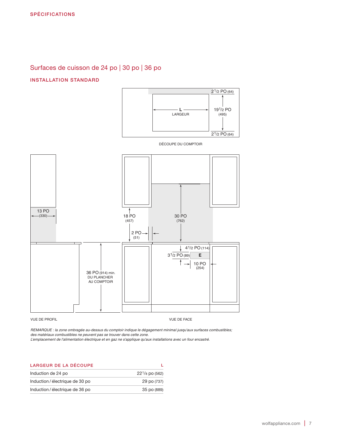### Surfaces de cuisson de 24 po | 30 po | 36 po

### INSTALLATION STANDARD



DÉCOUPE DU COMPTOIR



### VUE DE PROFIL VUE DE FACE

*REMARQUE : la zone ombragée au-dessus du comptoir indique le dégagement minimal jusqu'aux surfaces combustibles; des matériaux combustibles ne peuvent pas se trouver dans cette zone.*

*L'emplacement de l'alimentation électrique et en gaz ne s'applique qu'aux installations avec un four encastré.*

| <b>LARGEUR DE LA DÉCOUPE</b>    |                  |
|---------------------------------|------------------|
| Induction de 24 po              | $221/8$ po (562) |
| Induction / électrique de 30 po | 29 po (737)      |
| Induction / électrique de 36 po | 35 po (889)      |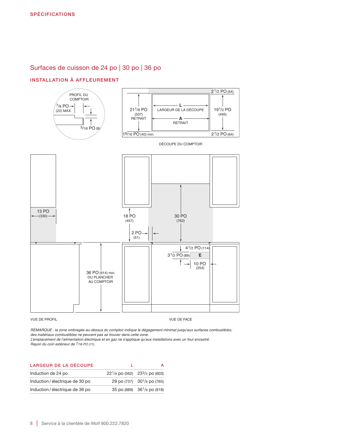### Surfaces de cuisson de 24 po | 30 po | 36 po

### INSTALLATION À AFFLEUREMENT



*REMARQUE : la zone ombragée au-dessus du comptoir indique le dégagement minimal jusqu'aux surfaces combustibles; des matériaux combustibles ne peuvent pas se trouver dans cette zone. L'emplacement de l'alimentation électrique et en gaz ne s'applique qu'aux installations avec un four encastré.*

*Rayon du coin extérieur de 7/16 PO (11).*

| <b>LARGEUR DE LA DÉCOUPE</b>  |                                         |
|-------------------------------|-----------------------------------------|
| Induction de 24 po            | $22^{1}/8$ po (562) $23^{3}/4$ po (603) |
| Induction/électrique de 30 po | 29 po (737) 30 <sup>1</sup> /8 po (765) |
| Induction/électrique de 36 po | 35 po (889) 36 <sup>1</sup> /8 po (918) |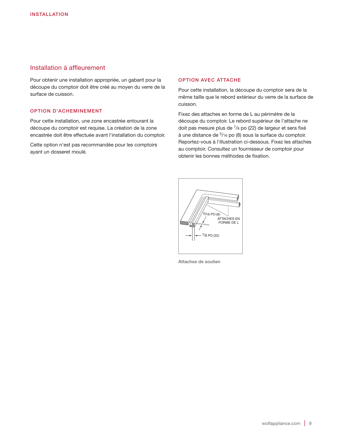### Installation à affleurement

Pour obtenir une installation appropriée, un gabarit pour la découpe du comptoir doit être créé au moyen du verre de la surface de cuisson.

### OPTION D'ACHEMINEMENT

Pour cette installation, une zone encastrée entourant la découpe du comptoir est requise. La création de la zone encastrée doit être effectuée avant l'installation du comptoir.

Cette option n'est pas recommandée pour les comptoirs ayant un dosseret moulé.

### OPTION AVEC ATTACHE

Pour cette installation, la découpe du comptoir sera de la même taille que le rebord extérieur du verre de la surface de cuisson.

Fixez des attaches en forme de L au périmètre de la découpe du comptoir. Le rebord supérieur de l'attache ne doit pas mesure plus de 7/8 po (22) de largeur et sera fixé à une distance de 5/16 po (8) sous la surface du comptoir. Reportez-vous à l'illustration ci-dessous. Fixez les attaches au comptoir. Consultez un fournisseur de comptoir pour obtenir les bonnes méthodes de fixation.



Attaches de soutien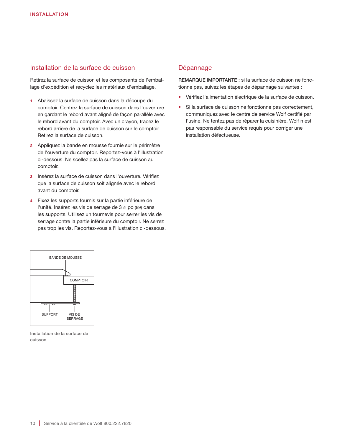### Installation de la surface de cuisson

Retirez la surface de cuisson et les composants de l'emballage d'expédition et recyclez les matériaux d'emballage.

- 1 Abaissez la surface de cuisson dans la découpe du comptoir. Centrez la surface de cuisson dans l'ouverture en gardant le rebord avant aligné de façon parallèle avec le rebord avant du comptoir. Avec un crayon, tracez le rebord arrière de la surface de cuisson sur le comptoir. Retirez la surface de cuisson.
- 2 Appliquez la bande en mousse fournie sur le périmètre de l'ouverture du comptoir. Reportez-vous à l'illustration ci-dessous. Ne scellez pas la surface de cuisson au comptoir.
- 3 Insérez la surface de cuisson dans l'ouverture. Vérifiez que la surface de cuisson soit alignée avec le rebord avant du comptoir.
- 4 Fixez les supports fournis sur la partie inférieure de l'unité. Insérez les vis de serrage de 3½ po (89) dans les supports. Utilisez un tournevis pour serrer les vis de serrage contre la partie inférieure du comptoir. Ne serrez pas trop les vis. Reportez-vous à l'illustration ci-dessous.



REMARQUE IMPORTANTE : si la surface de cuisson ne fonctionne pas, suivez les étapes de dépannage suivantes :

- Vérifiez l'alimentation électrique de la surface de cuisson.
- Si la surface de cuisson ne fonctionne pas correctement, communiquez avec le centre de service Wolf certifié par l'usine. Ne tentez pas de réparer la cuisinière. Wolf n'est pas responsable du service requis pour corriger une installation défectueuse.



Installation de la surface de cuisson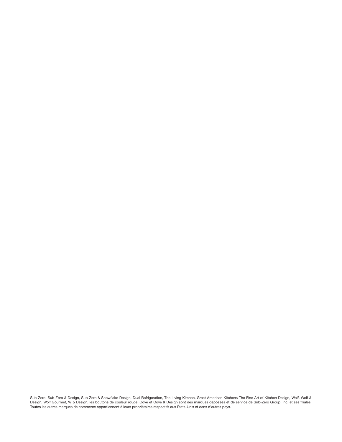Sub-Zero, Sub-Zero & Design, Sub-Zero & Snowflake Design, Dual Refrigeration, The Living Kitchen, Great American Kitchens The Fine Art of Kitchen Design, Wolf, Wolf & Design, Wolf Gourmet, W & Design, les boutons de couleur rouge, Cove et Cove & Design sont des marques déposées et de service de Sub-Zero Group, Inc. et ses filiales. Toutes les autres marques de commerce appartiennent à leurs propriétaires respectifs aux États-Unis et dans d'autres pays.